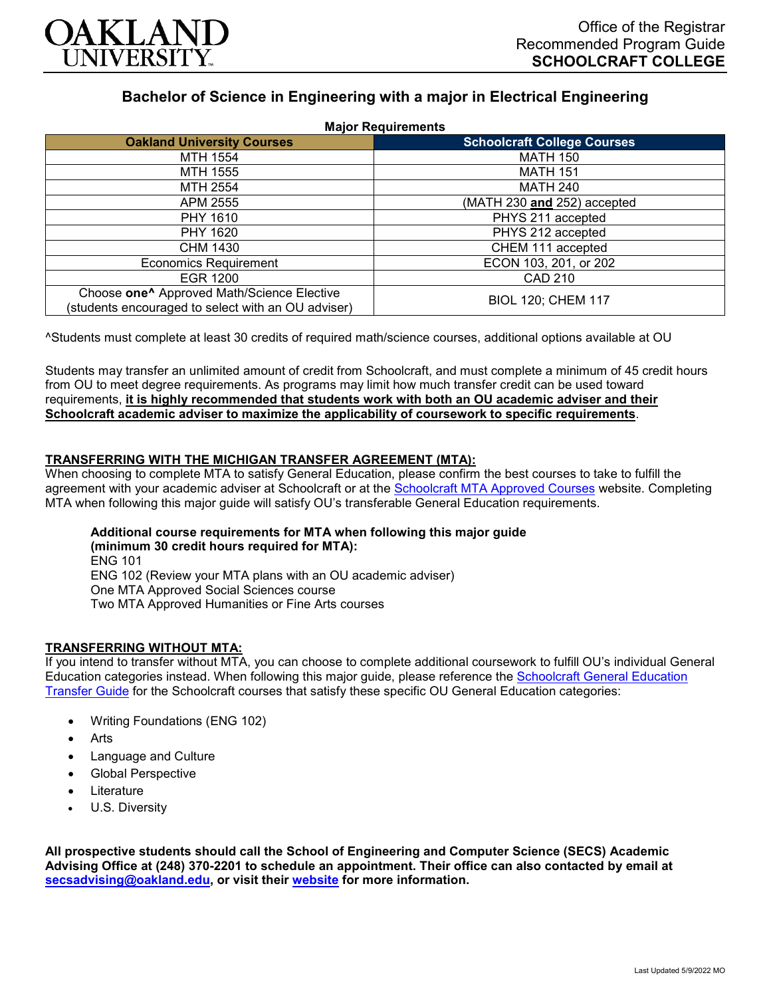

# **Bachelor of Science in Engineering with a major in Electrical Engineering**

| <b>Major Requirements</b>                                                                                    |                                    |
|--------------------------------------------------------------------------------------------------------------|------------------------------------|
| <b>Oakland University Courses</b>                                                                            | <b>Schoolcraft College Courses</b> |
| MTH 1554                                                                                                     | <b>MATH 150</b>                    |
| MTH 1555                                                                                                     | <b>MATH 151</b>                    |
| MTH 2554                                                                                                     | <b>MATH 240</b>                    |
| APM 2555                                                                                                     | (MATH 230 and 252) accepted        |
| <b>PHY 1610</b>                                                                                              | PHYS 211 accepted                  |
| PHY 1620                                                                                                     | PHYS 212 accepted                  |
| CHM 1430                                                                                                     | CHEM 111 accepted                  |
| <b>Economics Requirement</b>                                                                                 | ECON 103, 201, or 202              |
| EGR 1200                                                                                                     | <b>CAD 210</b>                     |
| Choose one <sup>^</sup> Approved Math/Science Elective<br>(students encouraged to select with an OU adviser) | <b>BIOL 120; CHEM 117</b>          |

^Students must complete at least 30 credits of required math/science courses, additional options available at OU

Students may transfer an unlimited amount of credit from Schoolcraft, and must complete a minimum of 45 credit hours from OU to meet degree requirements. As programs may limit how much transfer credit can be used toward requirements, **it is highly recommended that students work with both an OU academic adviser and their Schoolcraft academic adviser to maximize the applicability of coursework to specific requirements**.

## **TRANSFERRING WITH THE MICHIGAN TRANSFER AGREEMENT (MTA):**

When choosing to complete MTA to satisfy General Education, please confirm the best courses to take to fulfill the agreement with your academic adviser at Schoolcraft or at the [Schoolcraft MTA Approved Courses](https://www.schoolcraft.edu/academics/michigan-transfer-agreement) website. Completing MTA when following this major guide will satisfy OU's transferable General Education requirements.

# **Additional course requirements for MTA when following this major guide (minimum 30 credit hours required for MTA):**

ENG 101 ENG 102 (Review your MTA plans with an OU academic adviser) One MTA Approved Social Sciences course Two MTA Approved Humanities or Fine Arts courses

#### **TRANSFERRING WITHOUT MTA:**

If you intend to transfer without MTA, you can choose to complete additional coursework to fulfill OU's individual General Education categories instead. When following this major guide, please reference the [Schoolcraft General Education](https://www.oakland.edu/Assets/Oakland/program-guides/schoolcraft-college/university-general-education-requirements/Schoolcraft%20Gen%20Ed.pdf)  [Transfer Guide](https://www.oakland.edu/Assets/Oakland/program-guides/schoolcraft-college/university-general-education-requirements/Schoolcraft%20Gen%20Ed.pdf) for the Schoolcraft courses that satisfy these specific OU General Education categories:

- Writing Foundations (ENG 102)
- **Arts**
- Language and Culture
- Global Perspective
- **Literature**
- U.S. Diversity

**All prospective students should call the School of Engineering and Computer Science (SECS) Academic Advising Office at (248) 370-2201 to schedule an appointment. Their office can also contacted by email at [secsadvising@oakland.edu,](mailto:secsadvising@oakland.edu) or visit their [website](https://wwwp.oakland.edu/secs/advising/) for more information.**